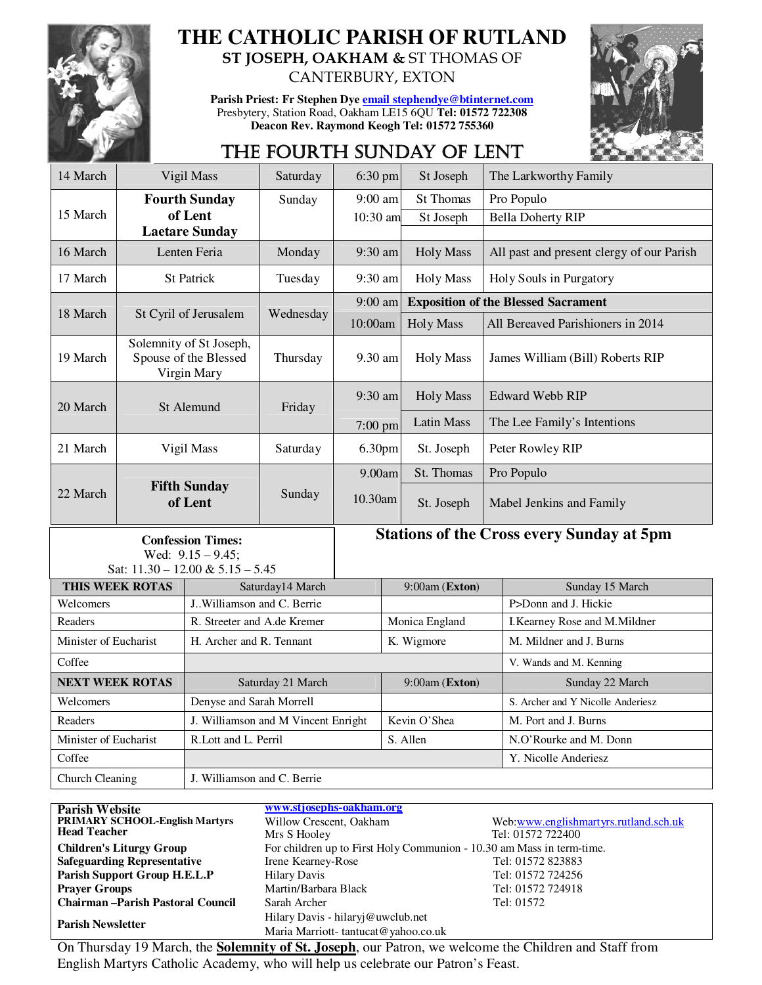

# **THE CATHOLIC PARISH OF RUTLAND**

**ST JOSEPH, OAKHAM &** ST THOMAS OF CANTERBURY, EXTON

**Parish Priest: Fr Stephen Dye email stephendye@btinternet.com** Presbytery, Station Road, Oakham LE15 6QU **Tel: 01572 722308 Deacon Rev. Raymond Keogh Tel: 01572 755360** 



## THE FOURTH SUNDAY OF LENT

| 14 March                                                                                | Vigil Mass                                                      |                                     | Saturday  | 6:30 pm                                          |                | St Joseph                                  |                                           | The Larkworthy Family             |  |
|-----------------------------------------------------------------------------------------|-----------------------------------------------------------------|-------------------------------------|-----------|--------------------------------------------------|----------------|--------------------------------------------|-------------------------------------------|-----------------------------------|--|
|                                                                                         | <b>Fourth Sunday</b>                                            |                                     | Sunday    | $9:00$ am                                        |                | <b>St Thomas</b>                           |                                           | Pro Populo                        |  |
| 15 March                                                                                |                                                                 | of Lent                             |           | 10:30 am                                         |                | St Joseph                                  |                                           | <b>Bella Doherty RIP</b>          |  |
|                                                                                         |                                                                 | <b>Laetare Sunday</b>               |           |                                                  |                |                                            |                                           |                                   |  |
| 16 March                                                                                | Lenten Feria                                                    |                                     | Monday    | 9:30 am                                          |                | <b>Holy Mass</b>                           | All past and present clergy of our Parish |                                   |  |
| 17 March                                                                                | <b>St Patrick</b>                                               |                                     | Tuesday   | 9:30 am                                          |                | <b>Holy Mass</b>                           |                                           | Holy Souls in Purgatory           |  |
|                                                                                         |                                                                 |                                     |           | 9:00 am                                          |                | <b>Exposition of the Blessed Sacrament</b> |                                           |                                   |  |
| 18 March                                                                                |                                                                 | St Cyril of Jerusalem               | Wednesday | 10:00am                                          |                | <b>Holy Mass</b>                           |                                           | All Bereaved Parishioners in 2014 |  |
| 19 March                                                                                | Solemnity of St Joseph,<br>Spouse of the Blessed<br>Virgin Mary |                                     | Thursday  | 9.30 am                                          |                | <b>Holy Mass</b>                           |                                           | James William (Bill) Roberts RIP  |  |
| 20 March                                                                                |                                                                 | St Alemund                          | Friday    | 9:30 am                                          |                | <b>Holy Mass</b>                           |                                           | <b>Edward Webb RIP</b>            |  |
|                                                                                         |                                                                 |                                     |           | $7:00$ pm                                        |                | <b>Latin Mass</b>                          |                                           | The Lee Family's Intentions       |  |
| 21 March                                                                                | Vigil Mass                                                      |                                     | Saturday  | 6.30pm                                           |                | St. Joseph                                 | Peter Rowley RIP                          |                                   |  |
|                                                                                         |                                                                 |                                     |           | 9.00am                                           |                | St. Thomas                                 |                                           | Pro Populo                        |  |
| 22 March                                                                                | <b>Fifth Sunday</b><br>of Lent                                  |                                     | Sunday    | 10.30am                                          |                | St. Joseph                                 |                                           | Mabel Jenkins and Family          |  |
| <b>Confession Times:</b><br>Wed: $9.15 - 9.45$ ;<br>Sat: $11.30 - 12.00 \& 5.15 - 5.45$ |                                                                 |                                     |           | <b>Stations of the Cross every Sunday at 5pm</b> |                |                                            |                                           |                                   |  |
| THIS WEEK ROTAS                                                                         |                                                                 | Saturday14 March                    |           | 9:00am (Exton)                                   |                |                                            | Sunday 15 March                           |                                   |  |
| Welcomers                                                                               |                                                                 | J. Williamson and C. Berrie         |           |                                                  |                |                                            |                                           | P>Donn and J. Hickie              |  |
| Readers                                                                                 |                                                                 | R. Streeter and A.de Kremer         |           |                                                  | Monica England |                                            |                                           | I. Kearney Rose and M. Mildner    |  |
| Minister of Eucharist                                                                   |                                                                 | H. Archer and R. Tennant            |           |                                                  | K. Wigmore     |                                            |                                           | M. Mildner and J. Burns           |  |
| Coffee                                                                                  |                                                                 |                                     |           |                                                  |                |                                            |                                           | V. Wands and M. Kenning           |  |
| <b>NEXT WEEK ROTAS</b>                                                                  |                                                                 | Saturday 21 March                   |           |                                                  | 9:00am (Exton) |                                            |                                           | Sunday 22 March                   |  |
| Welcomers                                                                               |                                                                 | Denyse and Sarah Morrell            |           |                                                  |                |                                            |                                           | S. Archer and Y Nicolle Anderiesz |  |
| Readers                                                                                 |                                                                 | J. Williamson and M Vincent Enright |           |                                                  | Kevin O'Shea   |                                            |                                           | M. Port and J. Burns              |  |
| Minister of Eucharist                                                                   |                                                                 | R.Lott and L. Perril                |           |                                                  | S. Allen       |                                            |                                           | N.O'Rourke and M. Donn            |  |
| Coffee                                                                                  |                                                                 |                                     |           |                                                  |                |                                            | Y. Nicolle Anderiesz                      |                                   |  |
| <b>Church Cleaning</b>                                                                  |                                                                 | J. Williamson and C. Berrie         |           |                                                  |                |                                            |                                           |                                   |  |

| <b>Parish Website</b>                   | www.stjosephs-oakham.org                                              |                                       |  |  |  |
|-----------------------------------------|-----------------------------------------------------------------------|---------------------------------------|--|--|--|
| <b>PRIMARY SCHOOL-English Martyrs</b>   | Willow Crescent, Oakham                                               | Web:www.englishmartyrs.rutland.sch.uk |  |  |  |
| <b>Head Teacher</b>                     | Mrs S Hooley                                                          | Tel: 01572 722400                     |  |  |  |
| <b>Children's Liturgy Group</b>         | For children up to First Holy Communion - 10.30 am Mass in term-time. |                                       |  |  |  |
| <b>Safeguarding Representative</b>      | Irene Kearney-Rose                                                    | Tel: 01572 823883                     |  |  |  |
| Parish Support Group H.E.L.P            | <b>Hilary Davis</b>                                                   | Tel: 01572 724256                     |  |  |  |
| <b>Praver Groups</b>                    | Martin/Barbara Black                                                  | Tel: 01572 724918                     |  |  |  |
| <b>Chairman-Parish Pastoral Council</b> | Sarah Archer                                                          | Tel: 01572                            |  |  |  |
| <b>Parish Newsletter</b>                | Hilary Davis - hilaryj@uwclub.net                                     |                                       |  |  |  |
|                                         | Maria Marriott-tantucat@yahoo.co.uk                                   |                                       |  |  |  |

On Thursday 19 March, the **Solemnity of St. Joseph**, our Patron, we welcome the Children and Staff from English Martyrs Catholic Academy, who will help us celebrate our Patron's Feast.